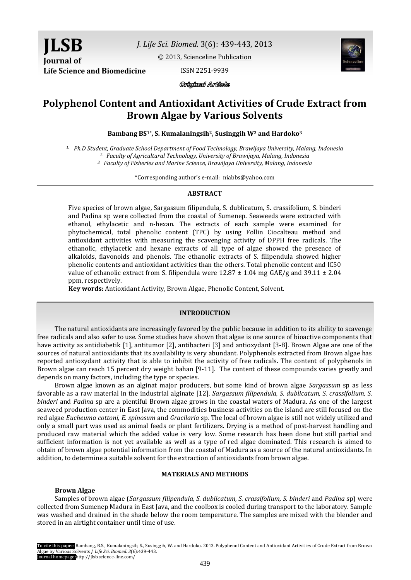*J. Life Sci. Biomed.* 3(6): 439-443, 2013

[© 2013, Scienceline Publication](http://www.science-line.com/index/)

**Life Science and Biomedicine**

ISSN 2251-9939



Original Article

# **Polyphenol Content and Antioxidant Activities of Crude Extract from Brown Algae by Various Solvents**

**Bambang BS1\*, S. Kumalaningsih2, Susinggih W<sup>2</sup> and Hardoko<sup>3</sup>**

*1. Ph.D Student, Graduate School Department of Food Technology, Brawijaya University, Malang, Indonesia 2. Faculty of Agricultural Technology, University of Brawijaya, Malang, Indonesia*

*3. Faculty of Fisheries and Marine Science, Brawijaya University, Malang, Indonesia*

\*Corresponding author's e-mail: niabbs@yahoo.com

# **ABSTRACT**

Five species of brown algae, Sargassum filipendula, S. dublicatum, S. crassifolium, S. binderi and Padina sp were collected from the coastal of Sumenep. Seaweeds were extracted with ethanol, ethylacetic and n-hexan. The extracts of each sample were examined for phytochemical, total phenolic content (TPC) by using Follin Ciocalteau method and antioxidant activities with measuring the scavenging activity of DPPH free radicals. The ethanolic, ethylacetic and hexane extracts of all type of algae showed the presence of alkaloids, flavonoids and phenols. The ethanolic extracts of S. filipendula showed higher phenolic contents and antioxidant activities than the others. Total phenolic content and IC50 value of ethanolic extract from S. filipendula were  $12.87 \pm 1.04$  mg GAE/g and  $39.11 \pm 2.04$ ppm, respectively.

**Key words:** Antioxidant Activity, Brown Algae, Phenolic Content, Solvent.

#### **INTRODUCTION**

The natural antioxidants are increasingly favored by the public because in addition to its ability to scavenge free radicals and also safer to use. Some studies have shown that algae is one source of bioactive components that have activity as antidiabetik [1], antitumor [2], antibacteri [3] and antioxydant [3-8]. Brown Algae are one of the sources of natural antioxidants that its availability is very abundant. Polyphenols extracted from Brown algae has reported antioxydant activity that is able to inhibit the activity of free radicals. The content of polyphenols in Brown algae can reach 15 percent dry weight bahan [9-11]. The content of these compounds varies greatly and depends on many factors, including the type or species.

Brown algae known as an alginat major producers, but some kind of brown algae *Sargassum* sp as less favorable as a raw material in the industrial alginate [12]. *Sargassum filipendula, S. dublicatum, S. crassifolium, S. binderi* and *Padina* sp are a plentiful Brown algae grows in the coastal waters of Madura. As one of the largest seaweed production center in East Java, the commodities business activities on the island are still focused on the red algae *Eucheuma cottoni, E. spinosum* and *Gracilaria* sp. The local of brown algae is still not widely utilized and only a small part was used as animal feeds or plant fertilizers. Drying is a method of post-harvest handling and produced raw material which the added value is very low. Some research has been done but still partial and sufficient information is not yet available as well as a type of red algae dominated. This research is aimed to obtain of brown algae potential information from the coastal of Madura as a source of the natural antioxidants. In addition, to determine a suitable solvent for the extraction of antioxidants from brown algae.

# **MATERIALS AND METHODS**

#### **Brown Algae**

Samples of brown algae (*Sargassum filipendula, S. dublicatum, S. crassifolium, S. binderi and <i>Padina* sp) were collected from Sumenep Madura in East Java, and the coolbox is cooled during transport to the laboratory. Sample was washed and drained in the shade below the room temperature. The samples are mixed with the blender and stored in an airtight container until time of use.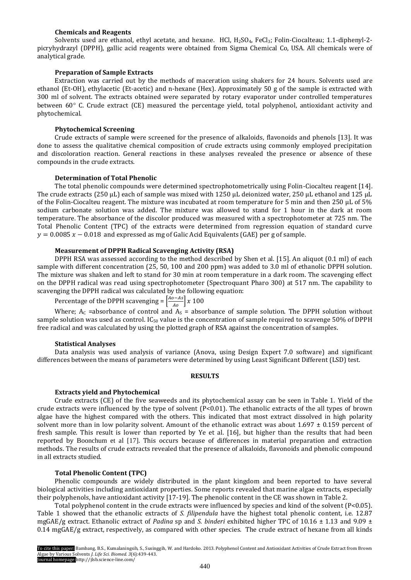# **Chemicals and Reagents**

Solvents used are ethanol, ethyl acetate, and hexane. HCl, H<sub>2</sub>SO<sub>4</sub>, FeCl<sub>3</sub>; Folin-Ciocalteau; 1.1-diphenyl-2picryhydrazyl (DPPH), gallic acid reagents were obtained from Sigma Chemical Co, USA. All chemicals were of analytical grade.

## **Preparation of Sample Extracts**

Extraction was carried out by the methods of maceration using shakers for 24 hours. Solvents used are ethanol (Et-OH), ethylacetic (Et-acetic) and n-hexane (Hex). Approximately 50 g of the sample is extracted with 300 ml of solvent. The extracts obtained were separated by rotary evaporator under controlled temperatures between  $60^{\circ}$  C. Crude extract (CE) measured the percentage yield, total polyphenol, antioxidant activity and phytochemical.

# **Phytochemical Screening**

Crude extracts of sample were screened for the presence of alkaloids, flavonoids and phenols [13]. It was done to assess the qualitative chemical composition of crude extracts using commonly employed precipitation and discoloration reaction. General reactions in these analyses revealed the presence or absence of these compounds in the crude extracts.

## **Determination of Total Phenolic**

The total phenolic compounds were determined spectrophotometrically using Folin-Ciocalteu reagent [14]. The crude extracts (250 μL) each of sample was mixed with 1250 μL deionized water, 250 μL ethanol and 125 μL of the Folin-Ciocalteu reagent. The mixture was incubated at room temperature for 5 min and then 250 μL of 5% sodium carbonate solution was added. The mixture was allowed to stand for 1 hour in the dark at room temperature. The absorbance of the discolor produced was measured with a spectrophotometer at 725 nm. The Total Phenolic Content (TPC) of the extracts were determined from regression equation of standard curve  $y = 0.0085 x - 0.018$  and expressed as mg of Galic Acid Equivalents (GAE) per g of sample.

#### **Measurement of DPPH Radical Scavenging Activity (RSA)**

DPPH RSA was assessed according to the method described by Shen et al. [15]. An aliquot (0.1 ml) of each sample with different concentration (25, 50, 100 and 200 ppm) was added to 3.0 ml of ethanolic DPPH solution. The mixture was shaken and left to stand for 30 min at room temperature in a dark room. The scavenging effect on the DPPH radical was read using spectrophotometer (Spectroquant Pharo 300) at 517 nm. The capability to scavenging the DPPH radical was calculated by the following equation:

Percentage of the DPPH scavenging =  $\left[\frac{Ao-As}{Ao}\right]$  x

Where;  $A_C$  =absorbance of control and  $A_S$  = absorbance of sample solution. The DPPH solution without sample solution was used as control. IC<sub>50</sub> value is the concentration of sample required to scavenge 50% of DPPH free radical and was calculated by using the plotted graph of RSA against the concentration of samples.

# **Statistical Analyses**

Data analysis was used analysis of variance (Anova, using Design Expert 7.0 software) and significant differences between the means of parameters were determined by using Least Significant Different (LSD) test.

#### **RESULTS**

# **Extracts yield and Phytochemical**

Crude extracts (CE) of the five seaweeds and its phytochemical assay can be seen in Table 1. Yield of the crude extracts were influenced by the type of solvent  $(P<0.01)$ . The ethanolic extracts of the all types of brown algae have the highest compared with the others. This indicated that most extract dissolved in high polarity solvent more than in low polarity solvent. Amount of the ethanolic extract was about  $1.697 \pm 0.159$  percent of fresh sample. This result is lower than reported by Ye et al. [16], but higher than the results that had been reported by Boonchum et al [17]. This occurs because of differences in material preparation and extraction methods. The results of crude extracts revealed that the presence of alkaloids, flavonoids and phenolic compound in all extracts studied.

# **Total Phenolic Content (TPC)**

Phenolic compounds are widely distributed in the plant kingdom and been reported to have several biological activities including antioxidant properties. Some reports revealed that marine algae extracts, especially their polyphenols, have antioxidant activity [17-19]. The phenolic content in the CE was shown in Table 2.

Total polyphenol content in the crude extracts were influenced by species and kind of the solvent (P<0.05). Table 1 showed that the ethanolic extracts of *S. filipendula* have the highest total phenolic content, i.e. 12.87 mgGAE/g extract. Ethanolic extract of *Padina* sp and *S. binderi* exhibited higher TPC of 10.16 ± 1.13 and 9.09 ± 0.14 mgGAE/g extract, respectively, as compared with other species. The crude extract of hexane from all kinds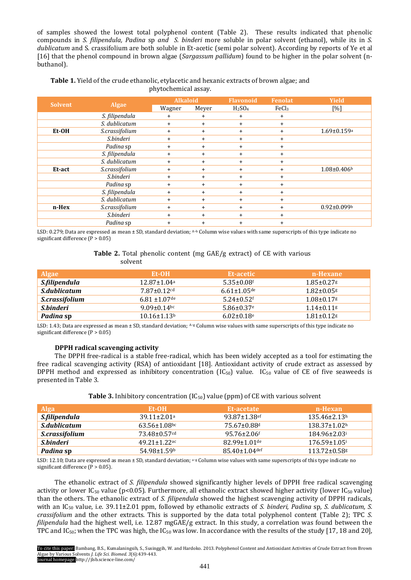of samples showed the lowest total polyphenol content (Table 2). These results indicated that phenolic compounds in *S. filipendula, Padina* sp *and S. binderi* more soluble in polar solvent (ethanol), while its in *S. dublicatum* and S. crassifolium are both soluble in Et-acetic (semi polar solvent). According by reports of Ye et al [16] that the phenol compound in brown algae (*Sargassum pallidum*) found to be higher in the polar solvent (nbuthanol).

**Table 1.** Yield of the crude ethanolic, etylacetic and hexanic extracts of brown algae; and phytochemical assay.

| <b>Solvent</b> | <b>Algae</b>   | <b>Alkaloid</b> |           | <b>Flavonoid</b>               | <b>Fenolat</b>    | <b>Yield</b>                  |
|----------------|----------------|-----------------|-----------|--------------------------------|-------------------|-------------------------------|
|                |                | Wagner          | Meyer     | H <sub>2</sub> SO <sub>4</sub> | FeCl <sub>3</sub> | [%]                           |
|                | S. filipendula | $\ddot{}$       | $\ddot{}$ | $\ddot{}$                      | $^{+}$            |                               |
|                | S. dublicatum  | $+$             | $\ddot{}$ | $+$                            | $+$               |                               |
| Et-OH          | S.crassifolium | $\ddot{}$       | $\ddot{}$ | $\ddot{}$                      | $^{+}$            | $1.69 \pm 0.159$ <sup>a</sup> |
|                | S.binderi      | $\ddot{}$       | $+$       | $+$                            | $\ddot{}$         |                               |
|                | Padina sp      | $\ddot{}$       | $+$       | $+$                            | $\ddot{}$         |                               |
|                | S. filipendula | $+$             | $\ddot{}$ | $+$                            | $\ddot{}$         |                               |
|                | S. dublicatum  | $\ddot{}$       | $\ddot{}$ | $+$                            | $+$               |                               |
| Et-act         | S.crassifolium | $+$             | $\ddot{}$ | $+$                            | $+$               | $1.08 \pm 0.406$              |
|                | S.binderi      | $\ddot{}$       | $+$       | $+$                            | $^{+}$            |                               |
|                | Padina sp      | $+$             | $\ddot{}$ | $+$                            | $+$               |                               |
|                | S. filipendula | $\ddot{}$       | $\ddot{}$ | $+$                            | $^{+}$            |                               |
|                | S. dublicatum  | $+$             | $\ddot{}$ | $+$                            | $+$               |                               |
| n-Hex          | S.crassifolium | $+$             | $+$       | $+$                            | $+$               | $0.92 \pm 0.099$ <sup>b</sup> |
|                | S.binderi      | $+$             | $\ddot{}$ | $+$                            | $+$               |                               |
|                | Padina sp      | $\ddot{}$       | $\ddot{}$ | $\ddot{}$                      | $+$               |                               |

LSD: 0.279; Data are expressed as mean ± SD, standard deviation; A–<sup>b</sup> Column wise values with same superscripts of this type indicate no significant difference  $(P > 0.05)$ 

# **Table 2.** Total phenolic content (mg GAE/g extract) of CE with various solvent

| <b>Algae</b>                 | Et-OH                         | Et-acetic                    | n-Hexane                     |
|------------------------------|-------------------------------|------------------------------|------------------------------|
| S.filipendula                | $12.87 \pm 1.04$ <sup>a</sup> | $5.35 \pm 0.08$ f            | $1.85 \pm 0.27$ g            |
| <i>S.dublicatum</i>          | $7.87 \pm 0.12$ <sup>cd</sup> | $6.61 \pm 1.05$ de           | $1.82 \pm 0.05$ g            |
| <i><b>S.crassifolium</b></i> | $6.81 \pm 1.07$ de            | $5.24 \pm 0.52$ <sup>f</sup> | $1.08 \pm 0.17$ g            |
| S.binderi                    | $9.09 \pm 0.14$ bc            | $5.86 \pm 0.37$ <sup>e</sup> | $1.14 \pm 0.11$ <sup>g</sup> |
| Padina sp                    | $10.16 \pm 1.13$ <sup>b</sup> | $6.02 \pm 0.18$ <sup>e</sup> | $1.81 \pm 0.12$ g            |

LSD: 1.43; Data are expressed as mean ± SD, standard deviation; A-g Column wise values with same superscripts of this type indicate no significant difference (P > 0.05)

# **DPPH radical scavenging activity**

The DPPH free-radical is a stable free-radical, which has been widely accepted as a tool for estimating the free radical scavenging activity (RSA) of antioxidant [18]. Antioxidant activity of crude extract as assessed by DPPH method and expressed as inhibitory concentration  $(IC_{50})$  value.  $IC_{50}$  value of CE of five seaweeds is presented in Table 3.

| <b>Alga</b>    | Et-OH                          | Et-acetate           | n-Hexan                        |
|----------------|--------------------------------|----------------------|--------------------------------|
| S.filipendula  | $39.11 \pm 2.01a$              | $93.87 \pm 1.38$ ef  | $135.46 \pm 2.13$ h            |
| S.dublicatum   | $63.56 \pm 1.08$ bc            | 75.67±0.88ª          | $138.37 \pm 1.02$ <sup>h</sup> |
| S.crassifolium | $73.48 \pm 0.57$ <sup>cd</sup> | $95.76 \pm 2.06$ f   | $184.96 \pm 2.03^{\text{i}}$   |
| S.binderi      | $49.21 \pm 1.22$ <sup>ac</sup> | $82.99 \pm 1.01$ de  | $176.59 \pm 1.05$              |
| Padina sp      | $54.98 \pm 1.59$ <sup>b</sup>  | $85.40 \pm 1.04$ def | $113.72 \pm 0.58$              |

**Table 3.** Inhibitory concentration (IC50) value (ppm) of CE with various solvent

LSD: 12.10; Data are expressed as mean  $\pm$  SD, standard deviation;  $a$ -g Column wise values with same superscripts of this type indicate no significant difference (P > 0.05).

The ethanolic extract of *S. filipendula* showed significantly higher levels of DPPH free radical scavenging activity or lower IC<sub>50</sub> value (p<0.05). Furthermore, all ethanolic extract showed higher activity (lower IC<sub>50</sub> value) than the others. The ethanolic extract of *S. filipendula* showed the highest scavenging activity of DPPH radicals, with an IC<sup>50</sup> value, i.e. 39.11±2.01 ppm, followed by ethanolic extracts of *S. binderi, Padina* sp*, S. dublicatum, S. crassifolium* and the other extracts. This is supported by the data total polyphenol content (Table 2); TPC *S. filipendula* had the highest well, i.e. 12.87 mgGAE/g extract. In this study, a correlation was found between the TPC and IC<sub>50</sub>; when the TPC was high, the IC<sub>50</sub> was low. In accordance with the results of the study [17, 18 and 20],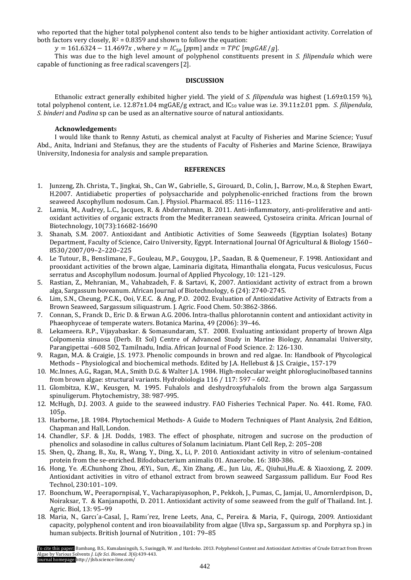who reported that the higher total polyphenol content also tends to be higher antioxidant activity. Correlation of both factors very closely,  $R^2 = 0.8359$  and shown to follow the equation:

 $y = 161.6324 - 11.4697x$ , where  $y = IC_{50}$  [ppm] and  $x = TPC$  [mgGAE/g].

This was due to the high level amount of polyphenol constituents present in *S. filipendula* which were capable of functioning as free radical scavengers [2].

#### **DISCUSSION**

Ethanolic extract generally exhibited higher yield. The yield of *S. filipendula* was highest (1.69±0.159 %), total polyphenol content, i.e. 12.87±1.04 mgGAE/g extract, and IC<sub>50</sub> value was i.e. 39.11±2.01 ppm. *S. filipendula*, *S. binderi* and *Padina* sp can be used as an alternative source of natural antioxidants.

## **Acknowledgement**s

I would like thank to Renny Astuti, as chemical analyst at Faculty of Fisheries and Marine Science; Yusuf Abd., Anita, Indriani and Stefanus, they are the students of Faculty of Fisheries and Marine Science, Brawijaya University, Indonesia for analysis and sample preparation.

#### **REFERENCES**

- 1. Junzeng, Zh. Christa, T., Jingkai, Sh., Can W., Gabrielle, S., Girouard, D., Colin, J., Barrow, M.o, & Stephen Ewart, H.2007. Antidiabetic properties of polysaccharide and polyphenolic-enriched fractions from the brown seaweed Ascophyllum nodosum. Can. J. Physiol. Pharmacol. 85: 1116–1123.
- 2. Lamia, M., Audrey, L.C., Jacques, R. & Abderrahman, B. 2011. Anti-inflammatory, anti-proliferative and antioxidant activities of organic extracts from the Mediterranean seaweed, Cystoseira crinita. African Journal of Biotechnology, 10(73):16682-16690
- 3. Shanab, S.M. 2007. Antioxidant and Antibiotic Activities of Some Seaweeds (Egyptian Isolates) Botany Department, Faculty of Science, Cairo University, Egypt. International Journal Of Agricultural & Biology 1560– 8530/2007/09–2–220–225
- 4. Le Tutour, B., Benslimane, F., Gouleau, M.P., Gouygou, J.P., Saadan, B. & Quemeneur, F. 1998. Antioxidant and prooxidant activities of the brown algae, Laminaria digitata, Himanthalia elongata, Fucus vesiculosus, Fucus serratus and Ascophyllum nodosum. Journal of Applied Phycology, 10: 121–129.
- 5. Rastian, Z., Mehranian, M., Vahabzadeh, F. & Sartavi, K, 2007. Antioxidant activity of extract from a brown alga, Sargassum boveanum. African Journal of Biotechnology, 6 (24): 2740-2745.
- 6. Lim, S.N., Cheung, P.C.K., Ooi, V.E.C. & Ang, P.O. 2002. Evaluation of Antioxidative Activity of Extracts from a Brown Seaweed, Sargassum siliquastrum. J. Agric. Food Chem. 50:3862-3866.
- 7. Connan, S., Franck D., Eric D. & Erwan A.G. 2006. Intra-thallus phlorotannin content and antioxidant activity in Phaeophyceae of temperate waters. Botanica Marina, 49 (2006): 39–46.
- 8. Lekameera. R.P., Vijayabaskar. & Somasundaram, S.T. 2008. Evaluating antioxidant property of brown Alga Colpomenia sinuosa (Derb. Et Sol) Centre of Advanced Study in Marine Biology, Annamalai University, Parangipettai –608 502, Tamilnadu, India. African Journal of Food Science. 2: 126-130.
- 9. Ragan, M.A. & Craigie, J.S. 1973. Phenolic compounds in brown and red algae. In: Handbook of Phycological Methods – Physiological and biochemical methods. Edited by J.A. Hellebust & J.S. Craigie., 157-179
- 10. Mc.Innes, A.G., Ragan, M.A., Smith D.G. & Walter J.A. 1984. High-molecular weight phloroglucinolbased tannins from brown algae: structural variants. Hydrobiologia 116 / 117: 597 – 602.
- 11. Glombitza, K.W., Keusgen, M. 1995. Fuhalols and deshydroxyfuhalols from the brown alga Sargassum spinuligerum. Phytochemistry, 38: 987-995.
- 12. McHugh, D.J. 2003. A guide to the seaweed industry. FAO Fisheries Technical Paper. No. 441. Rome, FAO. 105p.
- 13. Harborne, J.B. 1984. Phytochemical Methods- A Guide to Modern Techniques of Plant Analysis, 2nd Edition, Chapman and Hall, London.
- 14. Chandler, S.F. & J.H. Dodds, 1983. The effect of phosphate, nitrogen and sucrose on the production of phenolics and solasodine in callus cultures of Solanum laciniatum. Plant Cell Rep, 2: 205–208
- 15. Shen, Q., Zhang, B., Xu, R., Wang, Y., Ding, X., Li, P. 2010. Antioxidant activity in vitro of selenium-contained protein from the se-enriched. Bifodobacterium animalis 01. Anaerobe. 16: 380-386.
- 16. Hong, Ye. Æ.Chunhong Zhou, ÆYi., Sun, Æ., Xin Zhang, Æ., Jun Liu, Æ., Qiuhui,Hu.Æ. & Xiaoxiong, Z. 2009. Antioxidant activities in vitro of ethanol extract from brown seaweed Sargassum pallidum. Eur Food Res Technol, 230:101–109.
- 17. Boonchum, W., Peerapornpisal, Y., Vacharapiyasophon, P., Pekkoh, J., Pumas, C., Jamjai, U., Amornlerdpison, D., Noiraksar, T. & Kanjanapothi, D. 2011. Antioxidant activity of some seaweed from the gulf of Thailand. Int. J. Agric. Biol, 13: 95–99
- 18. Maria, N., Garcı´a-Casal, J., Ramı´rez, Irene Leets, Ana, C., Pereira. & Maria, F., Quiroga, 2009. Antioxidant capacity, polyphenol content and iron bioavailability from algae (Ulva sp., Sargassum sp. and Porphyra sp.) in human subjects. British Journal of Nutrition , 101: 79–85